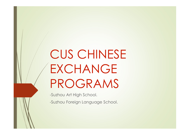# CUS CHINESE EXCHANGE PROGRAMS

-Suzhou Art High School.

-Suzhou Foreign Language School.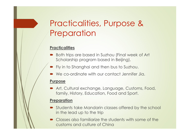# Practicalities, Purpose & Preparation

#### **Practicalities**

- $\blacksquare$  Both trips are based in Suzhou (Final week of Art Scholarship program based in Beijing).
- Fly in to Shanghai and then bus to Suzhou.
- We co-ordinate with our contact Jennifer Jia.

#### **Purpose**

Art, Cultural exchange, Language, Customs, Food,<br>family History Education, Eood and Sport family, History, Education, Food and Sport.

#### **Preparation**

- Students take Mandarin classes offered by the school<br>in the lead up to the trip in the lead up to the trip
- $\blacksquare$  Classes also familiarize the students with some of the customs and culture of China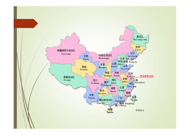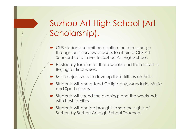## Suzhou Art High School (Art Scholarship).

- CUS students submit an application form and go<br>through an interview presess to attain a CUS Art through an interview process to attain a CUS Art Scholarship to travel to Suzhou Art High School.
- $\blacksquare$  Hosted by families for three weeks and then travel to Beijing for final week.
- $\blacksquare$ Main objective is to develop their skills as an Artist.
- Students will also attend Calligraphy, Mandarin, Music and Sport classes.
- $\blacksquare$  Students will spend the evenings and the weekends with host families.
- Students will also be brought to see the sights of Suzhou by Suzhou Art High School Teachers.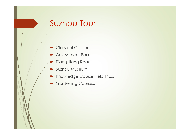### Suzhou Tour

- Classical Gardens.
- **•** Amusement Park.
- **Piang Jiang Road.**
- **Suzhou Museum.**
- Knowledge Course Field Trips.
- Gardening Courses.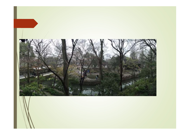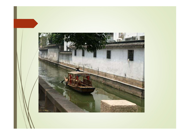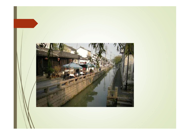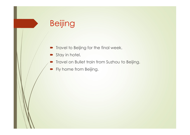# Beijing

- $\blacktriangleright$  Travel to Beijing for the final week.
- Stay in hotel.
- $\quad \blacksquare$  Travel on Bullet train from Suzhou to Beijing.
- **•** Fly home from Beijing.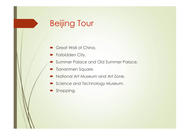# Beijing Tour

- Great Wall of China.
- Forbidden City.
- Summer Palace and Old Summer Palace.
- $\blacktriangleright$  Tiananmen Square.
- National Art Museum and Art Zone.
- Science and Technology Museum.
- Shopping.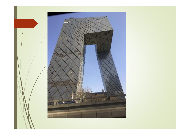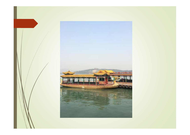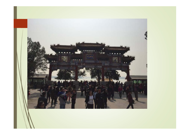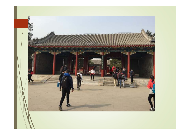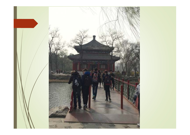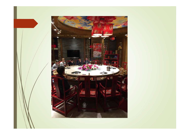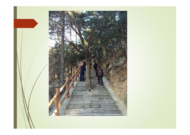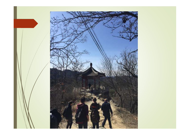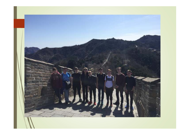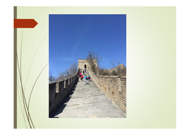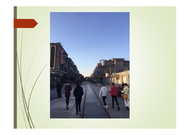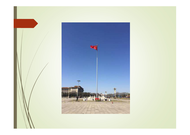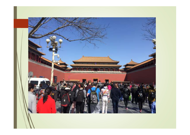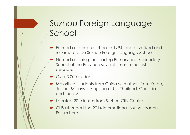# Suzhou Foreign Language School

- $\blacksquare$  Formed as a public school in 1994, and privatized and renamed to be Suzhou Foreign Language School.
- $\blacksquare$  Named as being the leading Primary and Secondary School of the Province several times in the last decade.
- **■** Over 3,000 students.
- **Majority of students from China with others from Korea,<br>Innon Malaysia Singgnore, UK, Thailand, Canada** Japan, Malaysia, Singapore, UK, Thailand, Canada and the U.S.
- Located 20 minutes from Suzhou City Centre.
- $\blacksquare$  CUS attended the 2014 International Young Leaders Forum here.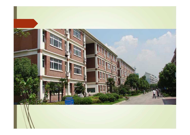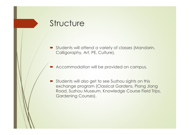#### **Structure**

- Students will attend a variety of classes (Mandarin, Calligoraphy, Art, PE, Culture).
- $\blacksquare$ Accommodation will be provided on campus.
- Students will also get to see Suzhou sights on this<br>exchange pregram (Classical Gardens, Piana, li exchange program (Classical Gardens, Piang Jiang Road, Suzhou Museum, Knowledge Course Field Trips, Gardening Courses).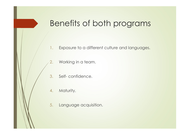### Benefits of both programs

- 1.Exposure to a different culture and languages.
- 2.Working in a team.
- 3.Self- confidence.
- 4.Maturity.
- 5.Language acquisition.